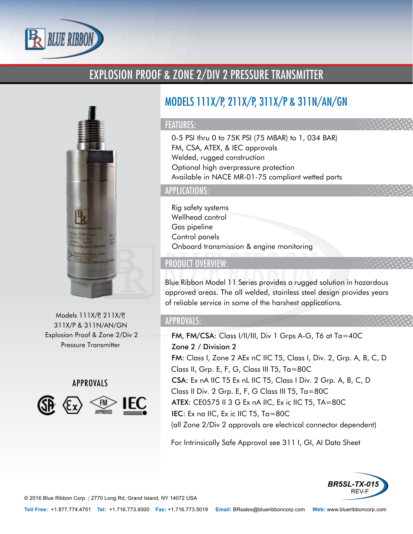

## EXPLOSION PROOF & ZONE 2/DIV 2 PRESSURE TRANSMITTER



Models 111X/P, 211X/P, 311X/P & 311N/AN/GN Explosion Proof & Zone 2/Div 2 Pressure Transmitter

APPROVALS



# MODELS 111X/P, 211X/P, 311X/P & 311N/AN/GN

#### FEATURES:

- 0-5 PSI thru 0 to 75K PSI (75 MBAR) to 1, 034 BAR)
- FM, CSA, ATEX, & IEC approvals
- Welded, rugged construction
- Optional high overpressure protection
- Available in NACE MR-01-75 compliant wetted parts

## APPLICATIONS:

- Rig safety systems
- Wellhead control
- Gas pipeline
- Control panels
- Onboard transmission & engine monitoring

## PRODUCT OVERVIEW:

Blue Ribbon Model 11 Series provides a rugged solution in hazardous approved areas. The all welded, stainless steel design provides years of reliable service in some of the harshest applications.

### APPROVALS:

- FM, FM/CSA: Class I/II/III, Div 1 Grps A-G, T6 at Ta=40C
- Zone 2 / Division 2
- FM: Class I, Zone 2 AEx nC IIC T5, Class I, Div. 2, Grp. A, B, C, D Class II, Grp. E, F, G, Class III T5, Ta=80C
- CSA: Ex nA IIC T5 Ex nL IIC T5, Class I Div. 2 Grp. A, B, C, D Class II Div. 2 Grp. E, F, G Class III T5, Ta=80C
- ATEX: CE0575 II 3 G Ex nA IIC, Ex ic IIC T5, TA=80C
- IEC: Ex na IIC, Ex ic IIC T5, Ta=80C (all Zone 2/Div 2 approvals are electrical connector dependent)

For Intrinsically Safe Approval see 311 I, GI, AI Data Sheet



© 2016 Blue Ribbon Corp. *<sup>|</sup>* 2770 Long Rd, Grand Island, NY 14072 USA